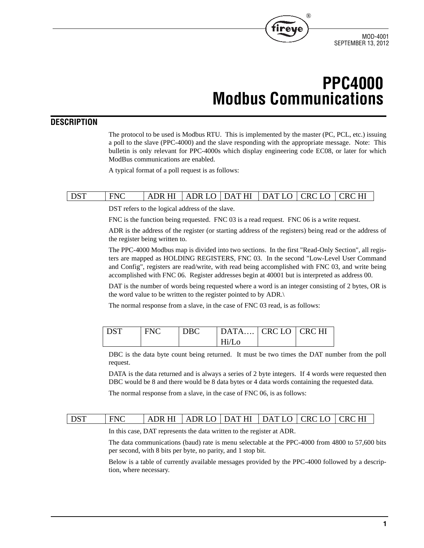

# **PPC4000 Modbus Communications**

®

### **DESCRIPTION**

The protocol to be used is Modbus RTU. This is implemented by the master (PC, PCL, etc.) issuing a poll to the slave (PPC-4000) and the slave responding with the appropriate message. Note: This bulletin is only relevant for PPC-4000s which display engineering code EC08, or later for which ModBus communications are enabled.

A typical format of a poll request is as follows:

# DST FNC  $|ABRHI|ABR LO|DATHI|DAT LO|CRC LO|CRC HI$

DST refers to the logical address of the slave.

FNC is the function being requested. FNC 03 is a read request. FNC 06 is a write request.

ADR is the address of the register (or starting address of the registers) being read or the address of the register being written to.

The PPC-4000 Modbus map is divided into two sections. In the first "Read-Only Section", all registers are mapped as HOLDING REGISTERS, FNC 03. In the second "Low-Level User Command and Config", registers are read/write, with read being accomplished with FNC 03, and write being accomplished with FNC 06. Register addresses begin at 40001 but is interpreted as address 00.

DAT is the number of words being requested where a word is an integer consisting of 2 bytes, OR is the word value to be written to the register pointed to by ADR.\

The normal response from a slave, in the case of FNC 03 read, is as follows:

| DST | <b>FNC</b> | <b>DBC</b> | $ $ DATA $ $ CRC LO $ $ CRC HI |  |
|-----|------------|------------|--------------------------------|--|
|     |            |            | $Hi/I$ .o                      |  |

DBC is the data byte count being returned. It must be two times the DAT number from the poll request.

DATA is the data returned and is always a series of 2 byte integers. If 4 words were requested then DBC would be 8 and there would be 8 data bytes or 4 data words containing the requested data.

The normal response from a slave, in the case of FNC 06, is as follows:

## DST FNC ADR HI ADR LO DAT HI DAT LO CRC LO CRC HI

In this case, DAT represents the data written to the register at ADR.

The data communications (baud) rate is menu selectable at the PPC-4000 from 4800 to 57,600 bits per second, with 8 bits per byte, no parity, and 1 stop bit.

Below is a table of currently available messages provided by the PPC-4000 followed by a description, where necessary.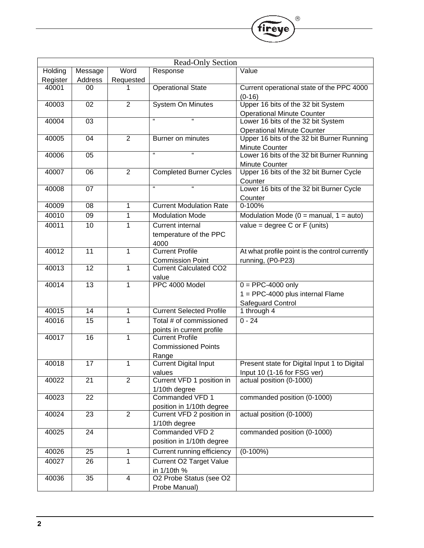| <b>Read-Only Section</b> |                 |                |                                 |                                                |
|--------------------------|-----------------|----------------|---------------------------------|------------------------------------------------|
| Holding                  | Message         | Word           | Response                        | $\overline{\text{Value}}$                      |
| Register                 | Address         | Requested      |                                 |                                                |
| 40001                    | 00              | 1              | <b>Operational State</b>        | Current operational state of the PPC 4000      |
|                          |                 |                |                                 | $(0-16)$                                       |
| 40003                    | 02              | $\overline{2}$ | <b>System On Minutes</b>        | Upper 16 bits of the 32 bit System             |
|                          |                 |                |                                 | <b>Operational Minute Counter</b>              |
| 40004                    | 03              |                | H.<br>Ŧ                         | Lower 16 bits of the 32 bit System             |
|                          |                 |                |                                 | <b>Operational Minute Counter</b>              |
| 40005                    | 04              | $\overline{2}$ | Burner on minutes               | Upper 16 bits of the 32 bit Burner Running     |
|                          |                 |                |                                 | Minute Counter                                 |
| 40006                    | $\overline{05}$ |                | $\mathbf{g}$<br>Ŧ               | Lower 16 bits of the 32 bit Burner Running     |
|                          |                 |                |                                 | <b>Minute Counter</b>                          |
| 40007                    | 06              | $\overline{2}$ | <b>Completed Burner Cycles</b>  | Upper 16 bits of the 32 bit Burner Cycle       |
|                          |                 |                |                                 | Counter                                        |
| 40008                    | 07              |                | ff.<br>$\mathbf{g}$             | Lower 16 bits of the 32 bit Burner Cycle       |
|                          |                 |                |                                 | Counter                                        |
| 40009                    | 08              | 1              | <b>Current Modulation Rate</b>  | 0-100%                                         |
| 40010                    | $\overline{09}$ | 1              | <b>Modulation Mode</b>          | Modulation Mode ( $0 =$ manual, $1 =$ auto)    |
| 40011                    | 10              | 1              | <b>Current internal</b>         | value = degree $C$ or $F$ (units)              |
|                          |                 |                | temperature of the PPC          |                                                |
|                          |                 |                | 4000                            |                                                |
| 40012                    | 11              | 1              | <b>Current Profile</b>          | At what profile point is the control currently |
|                          |                 |                | <b>Commission Point</b>         | running, (P0-P23)                              |
| 40013                    | 12              | 1              | <b>Current Calculated CO2</b>   |                                                |
|                          |                 |                | value                           |                                                |
| 40014                    | $\overline{13}$ | 1              | PPC 4000 Model                  | $0 = PPC-4000$ only                            |
|                          |                 |                |                                 | 1 = PPC-4000 plus internal Flame               |
|                          |                 |                |                                 | Safeguard Control                              |
| 40015                    | $\overline{14}$ | 1              | <b>Current Selected Profile</b> | 1 through 4                                    |
| 40016                    | 15              | 1              | Total # of commissioned         | $0 - 24$                                       |
|                          |                 |                | points in current profile       |                                                |
| 40017                    | 16              | 1              | <b>Current Profile</b>          |                                                |
|                          |                 |                | <b>Commissioned Points</b>      |                                                |
|                          |                 |                | Range                           |                                                |
| 40018                    | 17              | 1              | <b>Current Digital Input</b>    | Present state for Digital Input 1 to Digital   |
|                          |                 |                | values                          | Input 10 (1-16 for FSG ver)                    |
| 40022                    | $\overline{21}$ | $\overline{2}$ | Current VFD 1 position in       | actual position (0-1000)                       |
|                          |                 |                | 1/10th degree                   |                                                |
| 40023                    | $\overline{22}$ |                | Commanded VFD 1                 | commanded position (0-1000)                    |
|                          |                 |                | position in 1/10th degree       |                                                |
| 40024                    | 23              | $\overline{2}$ | Current VFD 2 position in       | actual position (0-1000)                       |
|                          |                 |                | 1/10th degree                   |                                                |
| 40025                    | $\overline{24}$ |                | Commanded VFD 2                 | commanded position (0-1000)                    |
|                          |                 |                | position in 1/10th degree       |                                                |
| 40026                    | $\overline{25}$ | 1              | Current running efficiency      | $(0-100\%)$                                    |
| 40027                    | 26              | 1              | <b>Current O2 Target Value</b>  |                                                |
|                          |                 |                | in 1/10th %                     |                                                |
| 40036                    | 35              | 4              | O2 Probe Status (see O2         |                                                |
|                          |                 |                | Probe Manual)                   |                                                |

 $^{\circledR}$ 

fireye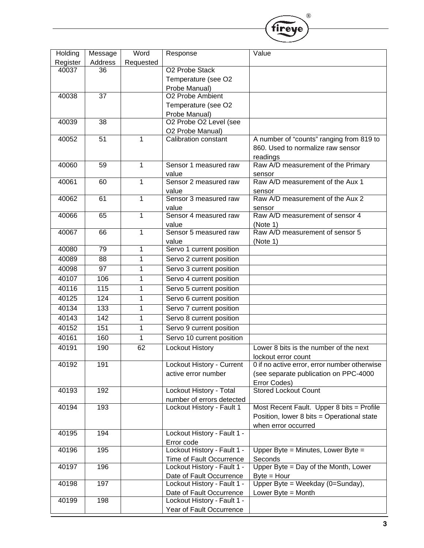| Holding           | Message                    | Word           | Response                                 | Value                                        |
|-------------------|----------------------------|----------------|------------------------------------------|----------------------------------------------|
|                   |                            |                |                                          |                                              |
| Register<br>40037 | Address<br>$\overline{36}$ | Requested      | <b>O2 Probe Stack</b>                    |                                              |
|                   |                            |                |                                          |                                              |
|                   |                            |                | Temperature (see O2                      |                                              |
| 40038             | $\overline{37}$            |                | Probe Manual)<br>O2 Probe Ambient        |                                              |
|                   |                            |                |                                          |                                              |
|                   |                            |                | Temperature (see O2                      |                                              |
|                   | $\overline{38}$            |                | Probe Manual)<br>O2 Probe O2 Level (see  |                                              |
| 40039             |                            |                |                                          |                                              |
| 40052             | 51                         | 1              | O2 Probe Manual)<br>Calibration constant | A number of "counts" ranging from 819 to     |
|                   |                            |                |                                          |                                              |
|                   |                            |                |                                          | 860. Used to normalize raw sensor            |
| 40060             |                            |                | Sensor 1 measured raw                    | readings                                     |
|                   | 59                         | $\mathbf{1}$   |                                          | Raw A/D measurement of the Primary           |
| 40061             | 60                         |                | value<br>Sensor 2 measured raw           | sensor<br>Raw A/D measurement of the Aux 1   |
|                   |                            | $\mathbf{1}$   |                                          |                                              |
|                   |                            |                | value<br>Sensor 3 measured raw           | sensor<br>Raw A/D measurement of the Aux 2   |
| 40062             | 61                         | $\mathbf{1}$   |                                          |                                              |
|                   |                            |                | value                                    | sensor<br>Raw A/D measurement of sensor 4    |
| 40066             | 65                         | 1              | Sensor 4 measured raw                    |                                              |
| 40067             | 66                         | $\mathbf{1}$   | value<br>Sensor 5 measured raw           | (Note 1)<br>Raw A/D measurement of sensor 5  |
|                   |                            |                |                                          |                                              |
| 40080             | 79                         | $\mathbf{1}$   | value<br>Servo 1 current position        | (Note 1)                                     |
|                   |                            |                |                                          |                                              |
| 40089             | $\overline{88}$            | $\mathbf{1}$   | Servo 2 current position                 |                                              |
| 40098             | 97                         | $\mathbf{1}$   | Servo 3 current position                 |                                              |
| 40107             | 106                        | $\mathbf{1}$   | Servo 4 current position                 |                                              |
| 40116             | 115                        | 1              | Servo 5 current position                 |                                              |
| 40125             | 124                        | 1              | Servo 6 current position                 |                                              |
| 40134             | 133                        | 1              | Servo 7 current position                 |                                              |
|                   |                            |                |                                          |                                              |
| 40143             | 142                        | 1              | Servo 8 current position                 |                                              |
| 40152             | 151                        | $\overline{1}$ | Servo 9 current position                 |                                              |
| 40161             | 160                        | $\mathbf{1}$   | Servo 10 current position                |                                              |
| 40191             | 190                        | 62             | <b>Lockout History</b>                   | Lower 8 bits is the number of the next       |
|                   |                            |                |                                          | lockout error count                          |
| 40192             | 191                        |                | <b>Lockout History - Current</b>         | 0 if no active error, error number otherwise |
|                   |                            |                | active error number                      | (see separate publication on PPC-4000        |
|                   |                            |                |                                          | Error Codes)                                 |
| 40193             | 192                        |                | Lockout History - Total                  | <b>Stored Lockout Count</b>                  |
|                   |                            |                | number of errors detected                |                                              |
| 40194             | 193                        |                | Lockout History - Fault 1                | Most Recent Fault. Upper 8 bits = Profile    |
|                   |                            |                |                                          | Position, lower 8 bits = Operational state   |
|                   |                            |                |                                          | when error occurred                          |
| 40195             | 194                        |                | Lockout History - Fault 1 -              |                                              |
|                   |                            |                | Error code                               |                                              |
| 40196             | 195                        |                | Lockout History - Fault 1 -              | Upper Byte = Minutes, Lower Byte =           |
|                   |                            |                | Time of Fault Occurrence                 | Seconds                                      |
| 40197             | 196                        |                | Lockout History - Fault 1 -              | Upper Byte = Day of the Month, Lower         |
|                   |                            |                | Date of Fault Occurrence                 | $Byte = Hour$                                |
| 40198             | 197                        |                | Lockout History - Fault 1 -              | Upper Byte = Weekday (0=Sunday),             |
|                   |                            |                | Date of Fault Occurrence                 | Lower Byte $=$ Month                         |
| 40199             | 198                        |                | Lockout History - Fault 1 -              |                                              |
|                   |                            |                | Year of Fault Occurrence                 |                                              |

®

fireye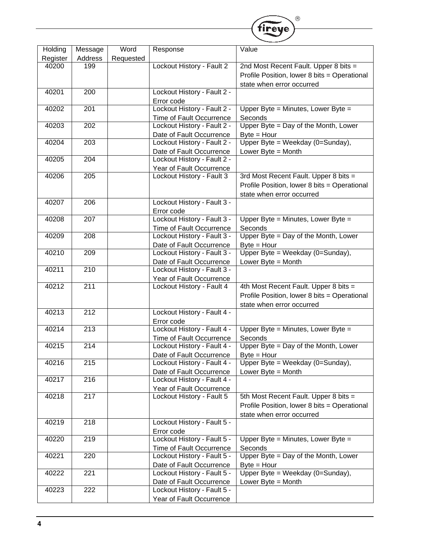|          |                  |           |                                                         | $\circledR$                                       |
|----------|------------------|-----------|---------------------------------------------------------|---------------------------------------------------|
|          |                  |           |                                                         | fireve                                            |
|          |                  |           |                                                         |                                                   |
| Holding  | Message          | Word      | Response                                                | Value                                             |
| Register | Address          | Requested |                                                         |                                                   |
| 40200    | 199              |           | Lockout History - Fault 2                               | 2nd Most Recent Fault. Upper 8 bits =             |
|          |                  |           |                                                         | Profile Position, lower 8 bits = Operational      |
|          |                  |           |                                                         |                                                   |
| 40201    | 200              |           | Lockout History - Fault 2 -                             | state when error occurred                         |
|          |                  |           | Error code                                              |                                                   |
| 40202    | $\overline{201}$ |           | Lockout History - Fault 2 -                             | Upper Byte = Minutes, Lower Byte =                |
|          |                  |           | Time of Fault Occurrence                                | Seconds                                           |
| 40203    | 202              |           | Lockout History - Fault 2 -                             | Upper Byte = Day of the Month, Lower              |
|          |                  |           | Date of Fault Occurrence                                | $Byte = Hour$                                     |
| 40204    | $\overline{203}$ |           | Lockout History - Fault 2 -                             | Upper Byte = Weekday (0=Sunday),                  |
|          |                  |           | Date of Fault Occurrence                                | Lower Byte = Month                                |
| 40205    | 204              |           | Lockout History - Fault 2 -                             |                                                   |
|          |                  |           | Year of Fault Occurrence                                |                                                   |
| 40206    | 205              |           | Lockout History - Fault 3                               | 3rd Most Recent Fault. Upper 8 bits =             |
|          |                  |           |                                                         | Profile Position, lower 8 bits = Operational      |
|          |                  |           |                                                         | state when error occurred                         |
| 40207    | 206              |           | Lockout History - Fault 3 -                             |                                                   |
|          |                  |           | Error code                                              |                                                   |
| 40208    | $\overline{207}$ |           | Lockout History - Fault 3 -                             | Upper Byte = Minutes, Lower Byte =                |
|          |                  |           | Time of Fault Occurrence                                | Seconds                                           |
| 40209    | 208              |           | Lockout History - Fault 3 -                             | Upper Byte = Day of the Month, Lower              |
|          |                  |           | Date of Fault Occurrence                                | $Byte = Hour$                                     |
| 40210    | $\overline{209}$ |           | Lockout History - Fault 3 -                             | Upper Byte = Weekday (0=Sunday),                  |
|          |                  |           | Date of Fault Occurrence                                | Lower Byte = Month                                |
| 40211    | $\overline{210}$ |           | Lockout History - Fault 3 -                             |                                                   |
|          |                  |           | Year of Fault Occurrence                                |                                                   |
| 40212    | 211              |           | Lockout History - Fault 4                               | 4th Most Recent Fault. Upper 8 bits =             |
|          |                  |           |                                                         | Profile Position, lower 8 bits = Operational      |
|          |                  |           |                                                         | state when error occurred                         |
| 40213    | $\overline{212}$ |           | Lockout History - Fault 4 -                             |                                                   |
|          | 213              |           | Error code                                              | Upper Byte = Minutes, Lower Byte =                |
| 40214    |                  |           | Lockout History - Fault 4 -                             |                                                   |
| 40215    | 214              |           | Time of Fault Occurrence                                | Seconds<br>Upper Byte = Day of the Month, Lower   |
|          |                  |           | Lockout History - Fault 4 -                             |                                                   |
| 40216    | 215              |           | Date of Fault Occurrence<br>Lockout History - Fault 4 - | $Byte = Hour$<br>Upper Byte = Weekday (0=Sunday), |
|          |                  |           |                                                         | Lower Byte = Month                                |
| 40217    | 216              |           | Date of Fault Occurrence<br>Lockout History - Fault 4 - |                                                   |
|          |                  |           | Year of Fault Occurrence                                |                                                   |
| 40218    | $\overline{217}$ |           | Lockout History - Fault 5                               | 5th Most Recent Fault. Upper 8 bits =             |
|          |                  |           |                                                         | Profile Position, lower 8 bits = Operational      |
|          |                  |           |                                                         | state when error occurred                         |
| 40219    | $\overline{218}$ |           | Lockout History - Fault 5 -                             |                                                   |
|          |                  |           | Error code                                              |                                                   |
| 40220    | $\overline{219}$ |           | Lockout History - Fault 5 -                             | Upper Byte = Minutes, Lower Byte =                |
|          |                  |           | Time of Fault Occurrence                                | Seconds                                           |
| 40221    | 220              |           | Lockout History - Fault 5 -                             | Upper Byte = Day of the Month, Lower              |
|          |                  |           | Date of Fault Occurrence                                | $Byte = Hour$                                     |
| 40222    | $\overline{221}$ |           | Lockout History - Fault 5 -                             | Upper Byte = Weekday (0=Sunday),                  |
|          |                  |           | Date of Fault Occurrence                                | Lower Byte $=$ Month                              |
| 40223    | 222              |           | Lockout History - Fault 5 -                             |                                                   |
|          |                  |           | Year of Fault Occurrence                                |                                                   |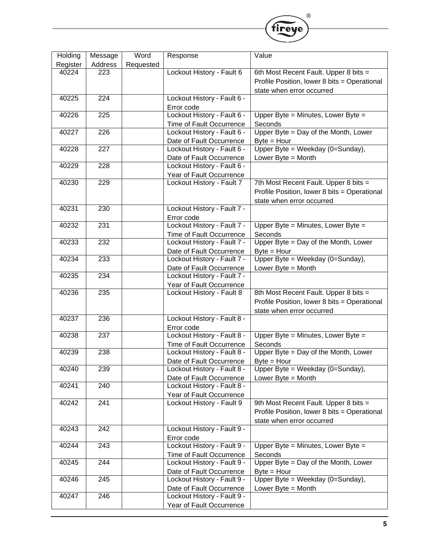| Holding  | Message          | Word      | Response                    | Value                                        |
|----------|------------------|-----------|-----------------------------|----------------------------------------------|
| Register | Address          | Requested |                             |                                              |
| 40224    | 223              |           | Lockout History - Fault 6   | 6th Most Recent Fault. Upper 8 bits =        |
|          |                  |           |                             | Profile Position, lower 8 bits = Operational |
|          |                  |           |                             | state when error occurred                    |
| 40225    | $\overline{224}$ |           | Lockout History - Fault 6 - |                                              |
|          |                  |           | Error code                  |                                              |
| 40226    | 225              |           | Lockout History - Fault 6 - | Upper Byte = Minutes, Lower Byte =           |
|          |                  |           | Time of Fault Occurrence    | Seconds                                      |
| 40227    | $\overline{226}$ |           | Lockout History - Fault 6 - | Upper Byte = Day of the Month, Lower         |
|          |                  |           | Date of Fault Occurrence    | $Byte = Hour$                                |
| 40228    | $\overline{227}$ |           | Lockout History - Fault 6 - | Upper Byte = Weekday (0=Sunday),             |
|          |                  |           | Date of Fault Occurrence    | Lower Byte = Month                           |
| 40229    | 228              |           | Lockout History - Fault 6 - |                                              |
|          |                  |           | Year of Fault Occurrence    |                                              |
| 40230    | 229              |           | Lockout History - Fault 7   | 7th Most Recent Fault. Upper 8 bits =        |
|          |                  |           |                             | Profile Position, lower 8 bits = Operational |
|          |                  |           |                             | state when error occurred                    |
| 40231    | 230              |           | Lockout History - Fault 7 - |                                              |
|          |                  |           | Error code                  |                                              |
| 40232    | 231              |           | Lockout History - Fault 7 - | Upper Byte = Minutes, Lower Byte =           |
|          |                  |           | Time of Fault Occurrence    | Seconds                                      |
| 40233    | 232              |           | Lockout History - Fault 7 - | Upper Byte = Day of the Month, Lower         |
|          |                  |           | Date of Fault Occurrence    | $Byte = Hour$                                |
| 40234    | 233              |           | Lockout History - Fault 7 - | Upper Byte = Weekday (0=Sunday),             |
|          |                  |           | Date of Fault Occurrence    | Lower Byte $=$ Month                         |
| 40235    | 234              |           | Lockout History - Fault 7 - |                                              |
|          |                  |           | Year of Fault Occurrence    |                                              |
| 40236    | 235              |           | Lockout History - Fault 8   | 8th Most Recent Fault. Upper 8 bits =        |
|          |                  |           |                             | Profile Position, lower 8 bits = Operational |
|          |                  |           |                             | state when error occurred                    |
| 40237    | 236              |           | Lockout History - Fault 8 - |                                              |
|          |                  |           | Error code                  |                                              |
| 40238    | 237              |           | Lockout History - Fault 8 - | Upper Byte = Minutes, Lower Byte =           |
|          |                  |           | Time of Fault Occurrence    | Seconds                                      |
| 40239    | 238              |           | Lockout History - Fault 8 - | Upper Byte = Day of the Month, Lower         |
|          |                  |           | Date of Fault Occurrence    | $Byte = Hour$                                |
| 40240    | 239              |           | Lockout History - Fault 8 - | Upper Byte = Weekday (0=Sunday),             |
|          |                  |           | Date of Fault Occurrence    | Lower Byte = Month                           |
| 40241    | 240              |           | Lockout History - Fault 8 - |                                              |
|          |                  |           | Year of Fault Occurrence    |                                              |
| 40242    | 241              |           | Lockout History - Fault 9   | 9th Most Recent Fault. Upper 8 bits =        |
|          |                  |           |                             | Profile Position, lower 8 bits = Operational |
|          |                  |           |                             | state when error occurred                    |
| 40243    | 242              |           | Lockout History - Fault 9 - |                                              |
|          |                  |           | Error code                  |                                              |
| 40244    | 243              |           | Lockout History - Fault 9 - | Upper Byte = Minutes, Lower Byte =           |
|          |                  |           | Time of Fault Occurrence    | Seconds                                      |
| 40245    | 244              |           | Lockout History - Fault 9 - | Upper Byte = Day of the Month, Lower         |
|          |                  |           | Date of Fault Occurrence    | $Byte = Hour$                                |
| 40246    | $\overline{245}$ |           | Lockout History - Fault 9 - | Upper Byte = Weekday (0=Sunday),             |
|          |                  |           | Date of Fault Occurrence    | Lower Byte $=$ Month                         |
| 40247    | 246              |           | Lockout History - Fault 9 - |                                              |
|          |                  |           | Year of Fault Occurrence    |                                              |
|          |                  |           |                             |                                              |

®

fireye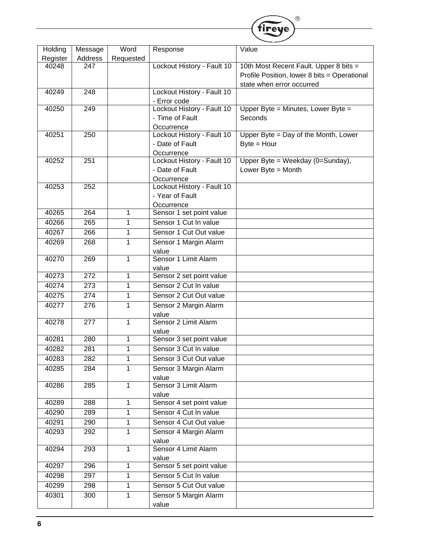|          |                  |           |                                          | ®                                            |
|----------|------------------|-----------|------------------------------------------|----------------------------------------------|
|          |                  |           |                                          | fireye                                       |
|          |                  |           |                                          |                                              |
| Holding  | Message          | Word      | Response                                 | Value                                        |
| Register | Address          | Requested |                                          |                                              |
| 40248    | 247              |           | Lockout History - Fault 10               | 10th Most Recent Fault. Upper 8 bits =       |
|          |                  |           |                                          | Profile Position, lower 8 bits = Operational |
|          |                  |           |                                          | state when error occurred                    |
| 40249    | $\overline{248}$ |           | Lockout History - Fault 10               |                                              |
|          | 249              |           | - Error code                             |                                              |
| 40250    |                  |           | Lockout History - Fault 10               | Upper Byte = Minutes, Lower Byte =           |
|          |                  |           | - Time of Fault                          | Seconds                                      |
| 40251    | $\overline{250}$ |           | Occurrence<br>Lockout History - Fault 10 | Upper Byte = Day of the Month, Lower         |
|          |                  |           | - Date of Fault                          |                                              |
|          |                  |           |                                          | $Byte = Hour$                                |
| 40252    | $\overline{251}$ |           | Occurrence<br>Lockout History - Fault 10 | Upper Byte = Weekday (0=Sunday),             |
|          |                  |           | - Date of Fault                          | Lower Byte = Month                           |
|          |                  |           | Occurrence                               |                                              |
| 40253    | 252              |           | Lockout History - Fault 10               |                                              |
|          |                  |           | - Year of Fault                          |                                              |
|          |                  |           | Occurrence                               |                                              |
| 40265    | 264              | 1         | Sensor 1 set point value                 |                                              |
| 40266    | 265              | 1         | Sensor 1 Cut In value                    |                                              |
| 40267    | 266              | 1         | Sensor 1 Cut Out value                   |                                              |
|          |                  |           |                                          |                                              |
| 40269    | 268              | 1         | Sensor 1 Margin Alarm                    |                                              |
| 40270    | 269              | 1         | value<br>Sensor 1 Limit Alarm            |                                              |
|          |                  |           | value                                    |                                              |
| 40273    | 272              | 1         | Sensor 2 set point value                 |                                              |
| 40274    | $\overline{273}$ | 1         | Sensor 2 Cut In value                    |                                              |
| 40275    | 274              | 1         | Sensor 2 Cut Out value                   |                                              |
|          |                  |           |                                          |                                              |
| 40277    | 276              | 1         | Sensor 2 Margin Alarm                    |                                              |
| 40278    | 277              | 1         | value<br>Sensor 2 Limit Alarm            |                                              |
|          |                  |           | value                                    |                                              |
| 40281    | 280              | 1         | Sensor 3 set point value                 |                                              |
| 40282    | $\overline{281}$ | 1         | Sensor 3 Cut In value                    |                                              |
| 40283    | 282              | 1         | Sensor 3 Cut Out value                   |                                              |
|          |                  |           |                                          |                                              |
| 40285    | 284              | 1         | Sensor 3 Margin Alarm                    |                                              |
| 40286    | 285              | 1         | value<br>Sensor 3 Limit Alarm            |                                              |
|          |                  |           | value                                    |                                              |
| 40289    | 288              | 1         | Sensor 4 set point value                 |                                              |
| 40290    | 289              | 1         | Sensor 4 Cut In value                    |                                              |
| 40291    | 290              | 1         | Sensor 4 Cut Out value                   |                                              |
|          |                  |           |                                          |                                              |
| 40293    | 292              | 1         | Sensor 4 Margin Alarm                    |                                              |
| 40294    | 293              | 1         | value<br>Sensor 4 Limit Alarm            |                                              |
|          |                  |           | value                                    |                                              |
| 40297    | 296              | 1         | Sensor 5 set point value                 |                                              |
| 40298    | 297              | 1         | Sensor 5 Cut In value                    |                                              |
|          | 298              |           | Sensor 5 Cut Out value                   |                                              |
| 40299    |                  | 1         |                                          |                                              |
| 40301    | 300              | 1         | Sensor 5 Margin Alarm                    |                                              |
|          |                  |           | value                                    |                                              |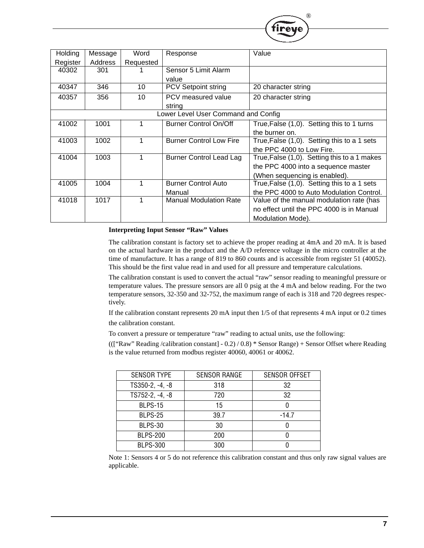| <b>Holding</b> | Message | Word      | Response                            | Value                                        |
|----------------|---------|-----------|-------------------------------------|----------------------------------------------|
| Register       | Address | Requested |                                     |                                              |
| 40302          | 301     |           | Sensor 5 Limit Alarm                |                                              |
|                |         |           | value                               |                                              |
| 40347          | 346     | 10        | <b>PCV Setpoint string</b>          | 20 character string                          |
| 40357          | 356     | 10        | PCV measured value                  | 20 character string                          |
|                |         |           | string                              |                                              |
|                |         |           | Lower Level User Command and Config |                                              |
| 41002          | 1001    |           | <b>Burner Control On/Off</b>        | True, False (1,0). Setting this to 1 turns   |
|                |         |           |                                     | the burner on.                               |
| 41003          | 1002    |           | <b>Burner Control Low Fire</b>      | True, False (1,0). Setting this to a 1 sets  |
|                |         |           |                                     | the PPC 4000 to Low Fire.                    |
| 41004          | 1003    | 1         | <b>Burner Control Lead Lag</b>      | True, False (1,0). Setting this to a 1 makes |
|                |         |           |                                     | the PPC 4000 into a sequence master          |
|                |         |           |                                     | (When sequencing is enabled).                |
| 41005          | 1004    |           | <b>Burner Control Auto</b>          | True, False (1,0). Setting this to a 1 sets  |
|                |         |           | Manual                              | the PPC 4000 to Auto Modulation Control.     |
| 41018          | 1017    |           | <b>Manual Modulation Rate</b>       | Value of the manual modulation rate (has     |
|                |         |           |                                     | no effect until the PPC 4000 is in Manual    |
|                |         |           |                                     | Modulation Mode).                            |

#### **Interpreting Input Sensor "Raw" Values**

The calibration constant is factory set to achieve the proper reading at 4mA and 20 mA. It is based on the actual hardware in the product and the A/D reference voltage in the micro controller at the time of manufacture. It has a range of 819 to 860 counts and is accessible from register 51 (40052). This should be the first value read in and used for all pressure and temperature calculations.

®

The calibration constant is used to convert the actual "raw" sensor reading to meaningful pressure or temperature values. The pressure sensors are all 0 psig at the 4 mA and below reading. For the two temperature sensors, 32-350 and 32-752, the maximum range of each is 318 and 720 degrees respectively.

If the calibration constant represents 20 mA input then 1/5 of that represents 4 mA input or 0.2 times the calibration constant.

To convert a pressure or temperature "raw" reading to actual units, use the following:

((["Raw" Reading /calibration constant] - 0.2) / 0.8) \* Sensor Range) + Sensor Offset where Reading is the value returned from modbus register 40060, 40061 or 40062.

| <b>SENSOR TYPE</b> | <b>SENSOR RANGE</b> | <b>SENSOR OFFSET</b> |
|--------------------|---------------------|----------------------|
| TS350-2, -4, -8    | 318                 | 32                   |
| TS752-2, -4, -8    | 720                 | 32                   |
| <b>BLPS-15</b>     | 15                  |                      |
| <b>BLPS-25</b>     | 39.7                | $-14.7$              |
| <b>BLPS-30</b>     | 30                  |                      |
| <b>BLPS-200</b>    | 200                 |                      |
| <b>BLPS-300</b>    | 300                 |                      |

Note 1: Sensors 4 or 5 do not reference this calibration constant and thus only raw signal values are applicable.